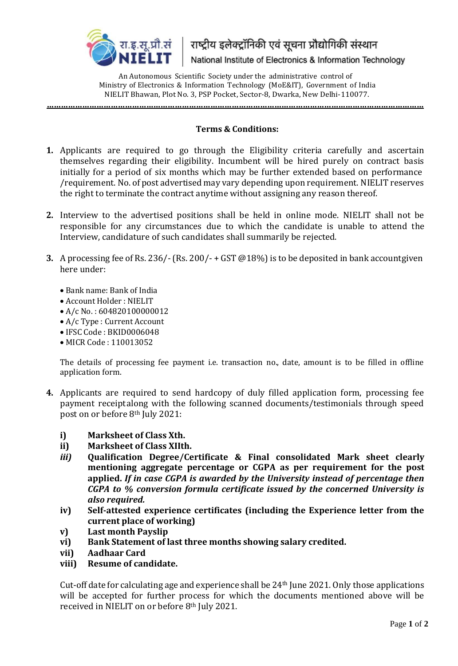

राष्ट्रीय इलेक्ट्रॉनिकी एवं सूचना प्रौद्योगिकी संस्थान National Institute of Electronics & Information Technology

An Autonomous Scientific Society under the administrative control of Ministry of Electronics & Information Technology (MoE&IT), Government of India NIELIT Bhawan, Plot No. 3, PSP Pocket, Sector-8, Dwarka, New Delhi-110077.

**……………………………………………………………………………………………………………………………………………**

## **Terms & Conditions:**

- **1.** Applicants are required to go through the Eligibility criteria carefully and ascertain themselves regarding their eligibility. Incumbent will be hired purely on contract basis initially for a period of six months which may be further extended based on performance /requirement. No. of post advertised may vary depending upon requirement. NIELIT reserves the right to terminate the contract anytime without assigning any reason thereof.
- **2.** Interview to the advertised positions shall be held in online mode. NIELIT shall not be responsible for any circumstances due to which the candidate is unable to attend the Interview, candidature of such candidates shall summarily be rejected.
- **3.** A processing fee of Rs. 236/-(Rs. 200/- + GST @18%) is to be deposited in bank accountgiven here under:
	- Bank name: Bank of India
	- Account Holder : NIELIT
	- A/c No. : 604820100000012
	- A/c Type : Current Account
	- IFSC Code : BKID0006048
	- MICR Code : 110013052

The details of processing fee payment i.e. transaction no., date, amount is to be filled in offline application form.

- **4.** Applicants are required to send hardcopy of duly filled application form, processing fee payment receiptalong with the following scanned documents/testimonials through speed post on or before 8th July 2021:
	- **i) Marksheet of Class Xth.**
	- **ii) Marksheet of Class XIIth.**
	- *iii)* **Qualification Degree/Certificate & Final consolidated Mark sheet clearly mentioning aggregate percentage or CGPA as per requirement for the post applied.** *If in case CGPA is awarded by the University instead of percentage then CGPA to % conversion formula certificate issued by the concerned University is also required.*
	- **iv) Self-attested experience certificates (including the Experience letter from the current place of working)**
	- **v) Last month Payslip**
	- **vi) Bank Statement of last three months showing salary credited.**
	- **vii) Aadhaar Card**
	- **viii) Resume of candidate.**

Cut-off date for calculating age and experience shall be 24th June 2021. Only those applications will be accepted for further process for which the documents mentioned above will be received in NIELIT on or before 8th July 2021.